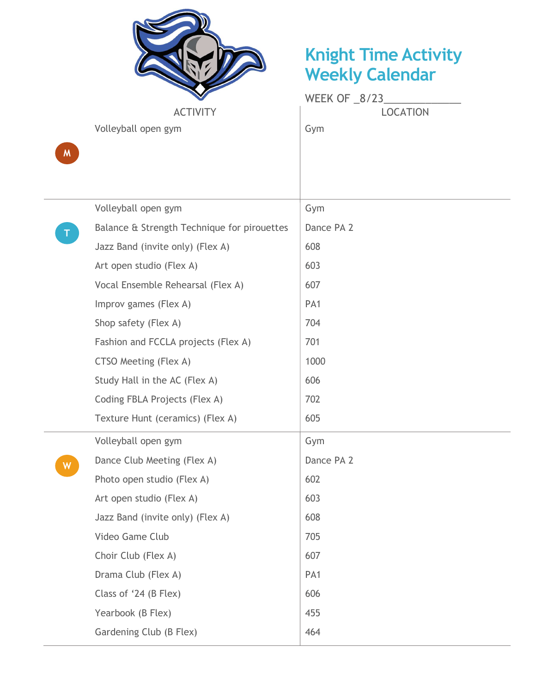

## Knight Time Activity Weekly Calendar

Volleyball open gym

|                 | WEEK OF 8/23    |  |
|-----------------|-----------------|--|
| <b>ACTIVITY</b> | <b>LOCATION</b> |  |

 $M$ 

|             | Volleyball open gym                         | Gym             |
|-------------|---------------------------------------------|-----------------|
| $\mathsf T$ | Balance & Strength Technique for pirouettes | Dance PA 2      |
|             | Jazz Band (invite only) (Flex A)            | 608             |
|             | Art open studio (Flex A)                    | 603             |
|             | Vocal Ensemble Rehearsal (Flex A)           | 607             |
|             | Improv games (Flex A)                       | PA <sub>1</sub> |
|             | Shop safety (Flex A)                        | 704             |
|             | Fashion and FCCLA projects (Flex A)         | 701             |
|             | CTSO Meeting (Flex A)                       | 1000            |
|             | Study Hall in the AC (Flex A)               | 606             |
|             | Coding FBLA Projects (Flex A)               | 702             |
|             | Texture Hunt (ceramics) (Flex A)            | 605             |
|             | Volleyball open gym                         | Gym             |
| W           | Dance Club Meeting (Flex A)                 | Dance PA 2      |
|             | Photo open studio (Flex A)                  | 602             |
|             | Art open studio (Flex A)                    | 603             |
|             | Jazz Band (invite only) (Flex A)            | 608             |
|             | Video Game Club                             | 705             |
|             | Choir Club (Flex A)                         | 607             |
|             | Drama Club (Flex A)                         | PA <sub>1</sub> |
|             | Class of '24 (B Flex)                       | 606             |
|             | Yearbook (B Flex)                           | 455             |
|             | Gardening Club (B Flex)                     | 464             |
|             |                                             |                 |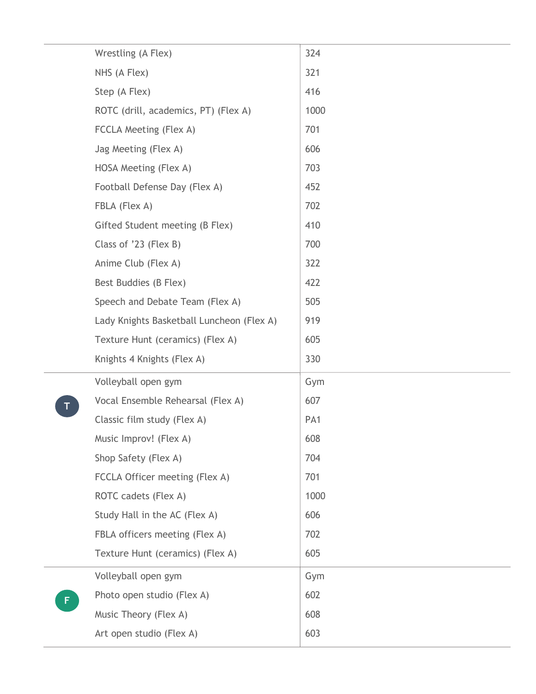|   | Wrestling (A Flex)                        | 324             |
|---|-------------------------------------------|-----------------|
|   | NHS (A Flex)                              | 321             |
|   | Step (A Flex)                             | 416             |
|   | ROTC (drill, academics, PT) (Flex A)      | 1000            |
|   | FCCLA Meeting (Flex A)                    | 701             |
|   | Jag Meeting (Flex A)                      | 606             |
|   | HOSA Meeting (Flex A)                     | 703             |
|   | Football Defense Day (Flex A)             | 452             |
|   | FBLA (Flex A)                             | 702             |
|   | Gifted Student meeting (B Flex)           | 410             |
|   | Class of '23 (Flex B)                     | 700             |
|   | Anime Club (Flex A)                       | 322             |
|   | Best Buddies (B Flex)                     | 422             |
|   | Speech and Debate Team (Flex A)           | 505             |
|   | Lady Knights Basketball Luncheon (Flex A) | 919             |
|   | Texture Hunt (ceramics) (Flex A)          | 605             |
|   | Knights 4 Knights (Flex A)                | 330             |
|   | Volleyball open gym                       | Gym             |
|   | Vocal Ensemble Rehearsal (Flex A)         | 607             |
|   | Classic film study (Flex A)               | PA <sub>1</sub> |
|   | Music Improv! (Flex A)                    | 608             |
|   | Shop Safety (Flex A)                      | 704             |
|   | FCCLA Officer meeting (Flex A)            | 701             |
|   | ROTC cadets (Flex A)                      | 1000            |
|   | Study Hall in the AC (Flex A)             | 606             |
|   | FBLA officers meeting (Flex A)            | 702             |
|   | Texture Hunt (ceramics) (Flex A)          | 605             |
|   | Volleyball open gym                       | Gym             |
| F | Photo open studio (Flex A)                | 602             |
|   | Music Theory (Flex A)                     | 608             |
|   |                                           |                 |
|   | Art open studio (Flex A)                  | 603             |